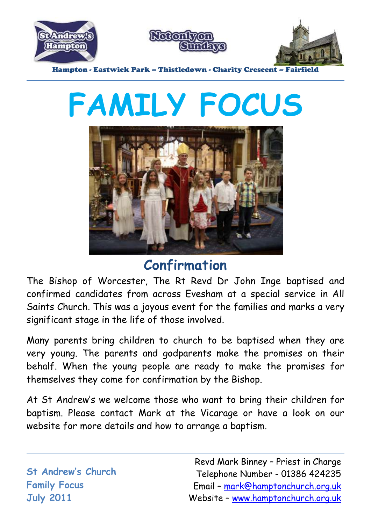

# **FAMILY FOCUS**



#### **Confirmation**

The Bishop of Worcester, The Rt Revd Dr John Inge baptised and confirmed candidates from across Evesham at a special service in All Saints Church. This was a joyous event for the families and marks a very significant stage in the life of those involved.

Many parents bring children to church to be baptised when they are very young. The parents and godparents make the promises on their behalf. When the young people are ready to make the promises for themselves they come for confirmation by the Bishop.

At St Andrew's we welcome those who want to bring their children for baptism. Please contact Mark at the Vicarage or have a look on our website for more details and how to arrange a baptism.

**St Andrew's Church Family Focus July 2011**

Revd Mark Binney – Priest in Charge Telephone Number - 01386 424235 Email – [mark@hamptonchurch.org.uk](mailto:mark@hamptonchurch.org.uk) Website – [www.hamptonchurch.org.uk](http://www.hamptonchurch.org.uk/)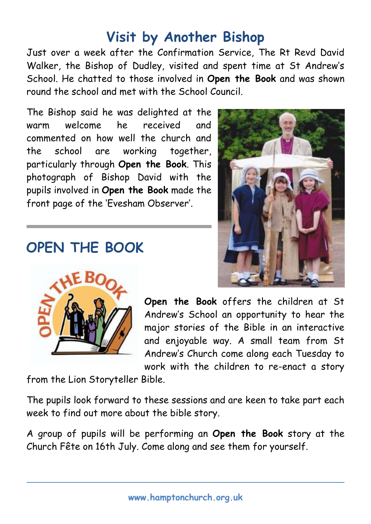### **Visit by Another Bishop**

Just over a week after the Confirmation Service, The Rt Revd David Walker, the Bishop of Dudley, visited and spent time at St Andrew's School. He chatted to those involved in **Open the Book** and was shown round the school and met with the School Council.

The Bishop said he was delighted at the warm welcome he received and commented on how well the church and the school are working together, particularly through **Open the Book**. This photograph of Bishop David with the pupils involved in **Open the Book** made the front page of the 'Evesham Observer'.

#### **OPEN THE BOOK**



**Open the Book** offers the children at St Andrew's School an opportunity to hear the major stories of the Bible in an interactive and enjoyable way. A small team from St Andrew's Church come along each Tuesday to work with the children to re-enact a story

from the Lion Storyteller Bible.

The pupils look forward to these sessions and are keen to take part each week to find out more about the bible story.

A group of pupils will be performing an **Open the Book** story at the Church Fête on 16th July. Come along and see them for yourself.

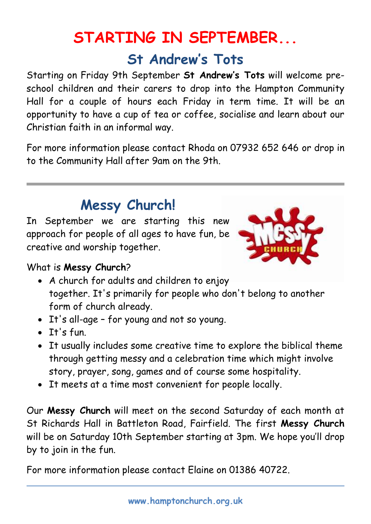## **STARTING IN SEPTEMBER... St Andrew's Tots**

Starting on Friday 9th September **St Andrew's Tots** will welcome preschool children and their carers to drop into the Hampton Community Hall for a couple of hours each Friday in term time. It will be an opportunity to have a cup of tea or coffee, socialise and learn about our Christian faith in an informal way.

For more information please contact Rhoda on 07932 652 646 or drop in to the Community Hall after 9am on the 9th.

#### **Messy Church!**

In September we are starting this new approach for people of all ages to have fun, be creative and worship together.



#### What is **Messy Church**?

- A church for adults and children to enjoy together. It's primarily for people who don't belong to another form of church already.
- It's all-age for young and not so young.
- $I$ <sup>t's fun.</sup>
- It usually includes some creative time to explore the biblical theme through getting messy and a celebration time which might involve story, prayer, song, games and of course some hospitality.
- It meets at a time most convenient for people locally.

Our **Messy Church** will meet on the second Saturday of each month at St Richards Hall in Battleton Road, Fairfield. The first **Messy Church** will be on Saturday 10th September starting at 3pm. We hope you'll drop by to join in the fun.

For more information please contact Elaine on 01386 40722.